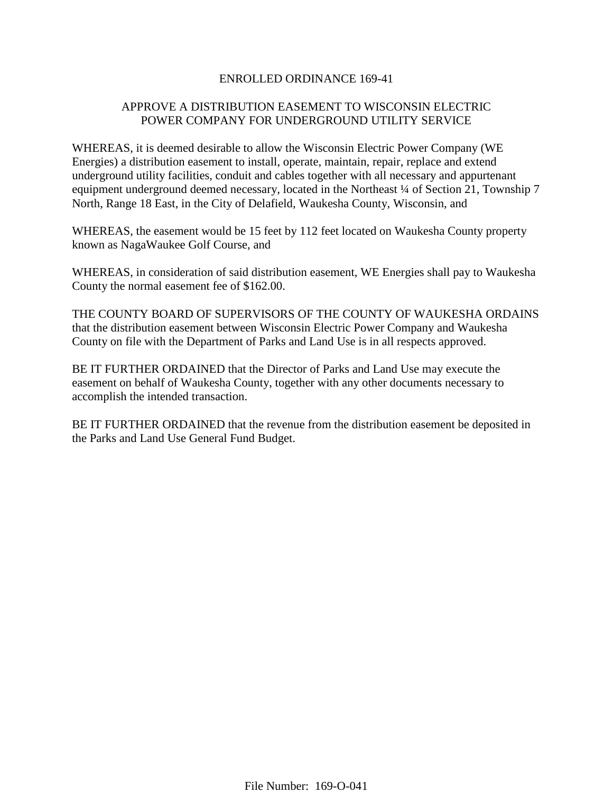## ENROLLED ORDINANCE 169-41

# APPROVE A DISTRIBUTION EASEMENT TO WISCONSIN ELECTRIC POWER COMPANY FOR UNDERGROUND UTILITY SERVICE

WHEREAS, it is deemed desirable to allow the Wisconsin Electric Power Company (WE Energies) a distribution easement to install, operate, maintain, repair, replace and extend underground utility facilities, conduit and cables together with all necessary and appurtenant equipment underground deemed necessary, located in the Northeast <sup>1</sup>/4 of Section 21, Township 7 North, Range 18 East, in the City of Delafield, Waukesha County, Wisconsin, and

WHEREAS, the easement would be 15 feet by 112 feet located on Waukesha County property known as NagaWaukee Golf Course, and

WHEREAS, in consideration of said distribution easement, WE Energies shall pay to Waukesha County the normal easement fee of \$162.00.

THE COUNTY BOARD OF SUPERVISORS OF THE COUNTY OF WAUKESHA ORDAINS that the distribution easement between Wisconsin Electric Power Company and Waukesha County on file with the Department of Parks and Land Use is in all respects approved.

BE IT FURTHER ORDAINED that the Director of Parks and Land Use may execute the easement on behalf of Waukesha County, together with any other documents necessary to accomplish the intended transaction.

BE IT FURTHER ORDAINED that the revenue from the distribution easement be deposited in the Parks and Land Use General Fund Budget.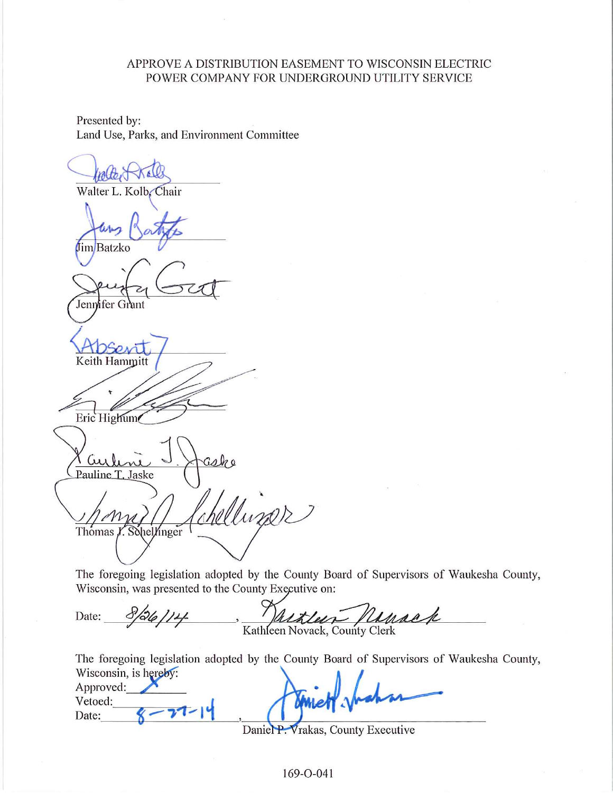## APPROVE A DISTRIBUTION EASEMENT TO WISCONSIN ELECTRIC POWER COMPANY FOR UNDERGROUND UTILITY SERVICE

Presented by: Land Use, Parks, and Environment Committee

Walter L. Kolb, Chair fimBatzko Jennifer Grant Keith Hammitt Eric Highum Pauline T. Jaske Muner Thomas f. Sohellinger

The foregoing legislation adopted by the County Board of Supervisors of Waukesha County, Wisconsin, was presented to the County Executive on:

Kathleen Novack, County Clerk  $8/26/14$ Date:

The foregoing legislation adopted by the County Board of Supervisors of Waukesha County, Wisconsin is hereby:

| $\mathbf{u}$ robotionly to the $\mathbf{v}$ .<br>Approved:<br>Vetoed: |   |
|-----------------------------------------------------------------------|---|
| Date:                                                                 | ∽ |

Daniel P. Vrakas, County Executive

169-O-041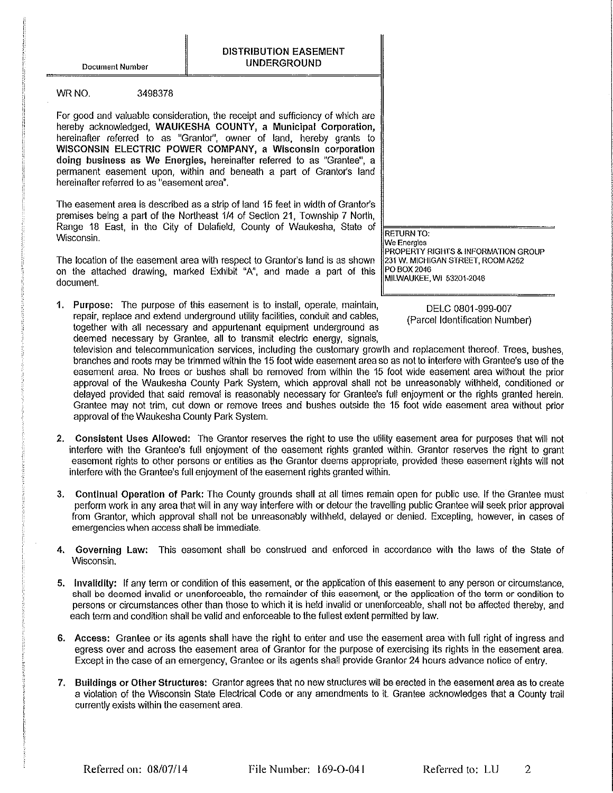**Document Number** 

3498378

#### WR NO.

For good and valuable consideration, the receipt and sufficiency of which are hereby acknowledged, WAUKESHA COUNTY, a Municipal Corporation, hereinafter referred to as "Grantor", owner of land, hereby grants to WISCONSIN ELECTRIC POWER COMPANY, a Wisconsin corporation doing business as We Energies, hereinafter referred to as "Grantee", a permanent easement upon, within and beneath a part of Grantor's land hereinafter referred to as "easement area".

The easement area is described as a strip of land 15 feet in width of Grantor's premises being a part of the Northeast 1/4 of Section 21, Township 7 North, Range 18 East, in the City of Delafield, County of Waukesha, State of Wisconsin.

The location of the easement area with respect to Grantor's land is as shown on the attached drawing, marked Exhibit "A", and made a part of this document.

1. Purpose: The purpose of this easement is to install, operate, maintain, repair, replace and extend underground utility facilities, conduit and cables, together with all necessary and appurtenant equipment underground as deemed necessary by Grantee, all to transmit electric energy, signals.

**RETURN TO:** We Energies PROPERTY RIGHTS & INFORMATION GROUP 231 W. MICHIGAN STREET, ROOM A252 PO BOX 2046 MILWAUKEE, WI 53201-2046

> DELC 0801-999-007 (Parcel Identification Number)

television and telecommunication services, including the customary growth and replacement thereof. Trees, bushes, branches and roots may be trimmed within the 15 foot wide easement area so as not to interfere with Grantee's use of the easement area. No trees or bushes shall be removed from within the 15 foot wide easement area without the prior approval of the Waukesha County Park System, which approval shall not be unreasonably withheld, conditioned or delayed provided that said removal is reasonably necessary for Grantee's full enioyment or the rights granted herein. Grantee may not trim, cut down or remove trees and bushes outside the 15 foot wide easement area without prior approval of the Waukesha County Park System.

- 2. Consistent Uses Allowed: The Grantor reserves the right to use the utility easement area for purposes that will not interfere with the Grantee's full enjoyment of the easement rights granted within. Grantor reserves the right to grant easement rights to other persons or entities as the Grantor deems appropriate, provided these easement rights will not interfere with the Grantee's full enjoyment of the easement rights granted within.
- 3. Continual Operation of Park: The County grounds shall at all times remain open for public use. If the Grantee must perform work in any area that will in any way interfere with or detour the travelling public Grantee will seek prior approval from Grantor, which approval shall not be unreasonably withheld, delayed or denied. Excepting, however, in cases of emergencies when access shall be immediate.
- 4. Governing Law: This easement shall be construed and enforced in accordance with the laws of the State of Wisconsin.
- 5. Invalidity: If any term or condition of this easement, or the application of this easement to any person or circumstance, shall be deemed invalid or unenforceable, the remainder of this easement, or the application of the term or condition to persons or circumstances other than those to which it is held invalid or unenforceable, shall not be affected thereby, and each term and condition shall be valid and enforceable to the fullest extent permitted by law.
- 6. Access: Grantee or its agents shall have the right to enter and use the easement area with full right of ingress and egress over and across the easement area of Grantor for the purpose of exercising its rights in the easement area. Except in the case of an emergency, Grantee or its agents shall provide Grantor 24 hours advance notice of entry.
- 7. Buildings or Other Structures: Grantor agrees that no new structures will be erected in the easement area as to create a violation of the Wisconsin State Electrical Code or any amendments to it. Grantee acknowledges that a County trail currently exists within the easement area.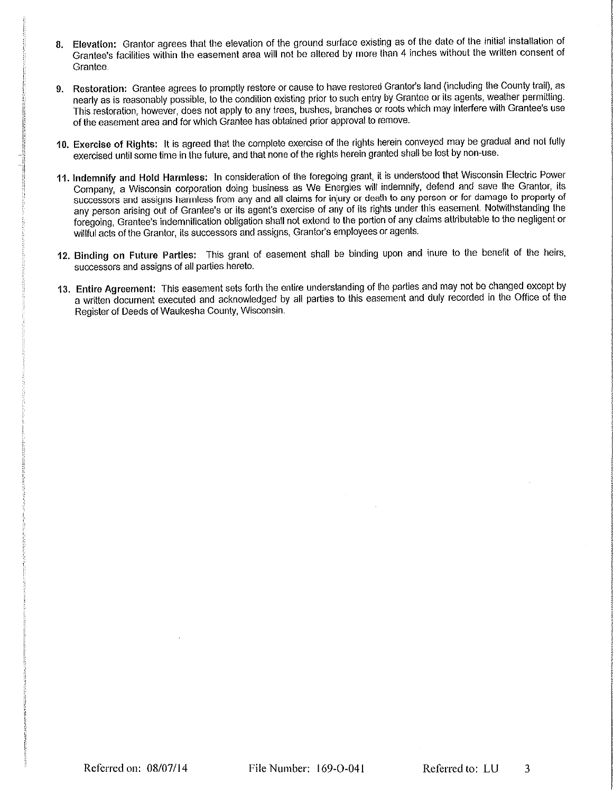- 8. Elevation: Grantor agrees that the elevation of the ground surface existing as of the date of the initial installation of Grantee's facilities within the easement area will not be altered by more than 4 inches without the written consent of Grantee.
- 9. Restoration: Grantee agrees to promptly restore or cause to have restored Grantor's land (including the County trail), as nearly as is reasonably possible, to the condition existing prior to such entry by Grantee or its agents, weather permitting. This restoration, however, does not apply to any trees, bushes, branches or roots which may interfere with Grantee's use of the easement area and for which Grantee has obtained prior approval to remove.
- 10. Exercise of Rights: It is agreed that the complete exercise of the rights herein conveyed may be gradual and not fully exercised until some time in the future, and that none of the rights herein granted shall be lost by non-use.
- 11. Indemnify and Hold Harmless: In consideration of the foregoing grant, it is understood that Wisconsin Electric Power Company, a Wisconsin corporation doing business as We Energies will indemnify, defend and save the Grantor, its successors and assigns harmless from any and all claims for injury or death to any person or for damage to property of any person arising out of Grantee's or its agent's exercise of any of its rights under this easement. Notwithstanding the foregoing, Grantee's indemnification obligation shall not extend to the portion of any claims attributable to the negligent or willful acts of the Grantor, its successors and assigns, Grantor's employees or agents.
- 12. Binding on Future Parties: This grant of easement shall be binding upon and inure to the benefit of the heirs, successors and assigns of all parties hereto.
- 13. Entire Agreement: This easement sets forth the entire understanding of the parties and may not be changed except by a written document executed and acknowledged by all parties to this easement and duly recorded in the Office of the Register of Deeds of Waukesha County, Wisconsin.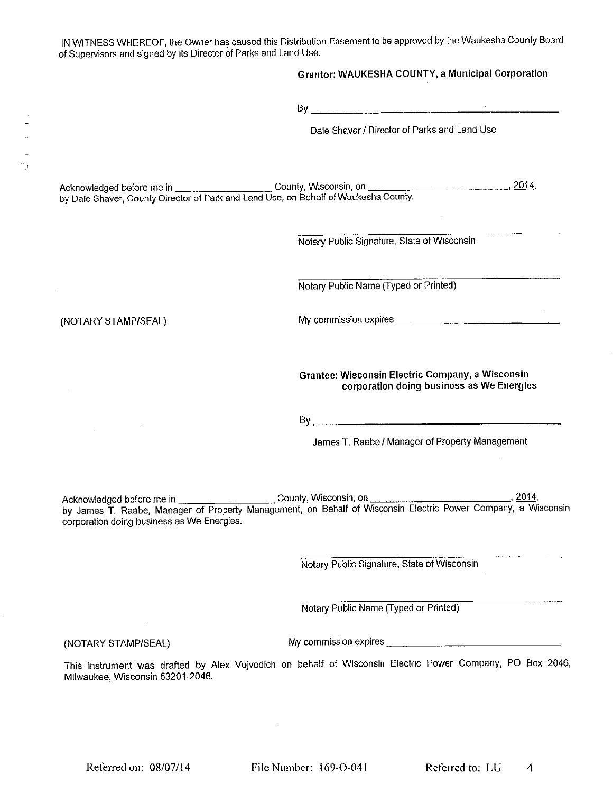IN WITNESS WHEREOF, the Owner has caused this Distribution Easement to be approved by the Waukesha County Board of Supervisors and signed by its Director of Parks and Land Use.

|                                            | <b>Grantor: WAUKESHA COUNTY, a Municipal Corporation</b>                                      |
|--------------------------------------------|-----------------------------------------------------------------------------------------------|
|                                            |                                                                                               |
|                                            | Dale Shaver / Director of Parks and Land Use                                                  |
|                                            |                                                                                               |
|                                            | Notary Public Signature, State of Wisconsin                                                   |
|                                            | Notary Public Name (Typed or Printed)                                                         |
| (NOTARY STAMP/SEAL)                        |                                                                                               |
|                                            | Grantee: Wisconsin Electric Company, a Wisconsin<br>corporation doing business as We Energies |
|                                            |                                                                                               |
|                                            | James T. Raabe / Manager of Property Management                                               |
| corporation doing business as We Energies. |                                                                                               |
|                                            | Notary Public Signature, State of Wisconsin                                                   |

Notary Public Name (Typed or Printed)

(NOTARY STAMP/SEAL)

 $\sim$ 

My commission expires \_\_\_\_\_\_\_\_\_\_\_\_\_

This instrument was drafted by Alex Vojvodich on behalf of Wisconsin Electric Power Company, PO Box 2046, Milwaukee, Wisconsin 53201-2046.

Referred on: 08/07/14

File Number: 169-O-041

Referred to: LU  $\overline{4}$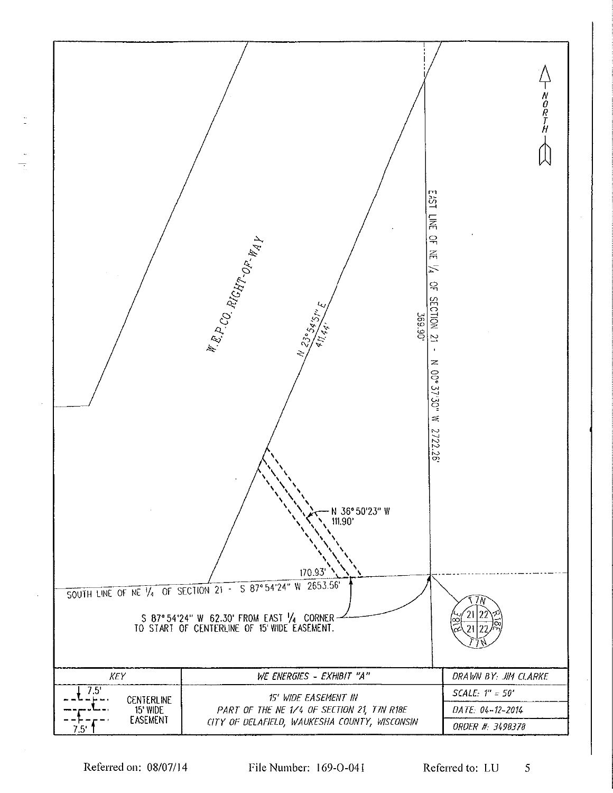

Referred on: 08/07/14

File Number: 169-O-041

Referred to: LU 5